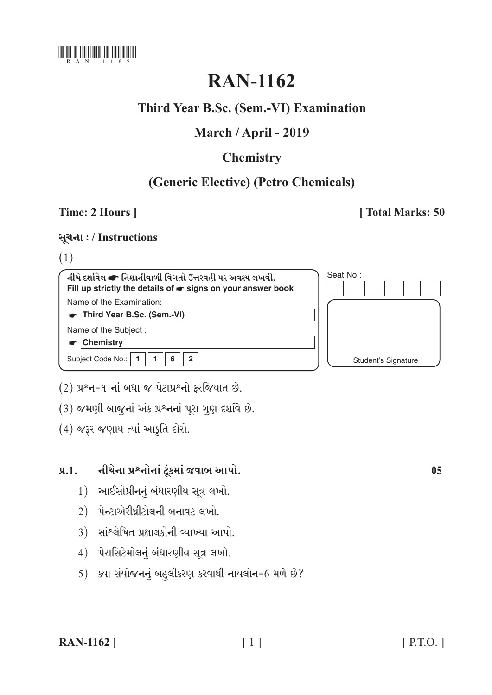

# **RAN-1162**

# Third Year B.Sc. (Sem.-VI) Examination

# March / April - 2019

# **Chemistry**

# (Generic Elective) (Petro Chemicals)

## Time: 2 Hours ]

### [Total Marks: 50

### સૂચના: / Instructions

### $(1)$

| નીચે દર્શાવેલ σ નિશાનીવાળી વિગતો ઉત્તરવહી પર અવશ્ય લખવી.<br>Fill up strictly the details of $\bullet$ signs on your answer book | Seat No.:           |
|---------------------------------------------------------------------------------------------------------------------------------|---------------------|
| Name of the Examination:                                                                                                        |                     |
| Third Year B.Sc. (Sem.-VI)                                                                                                      |                     |
| Name of the Subject:                                                                                                            |                     |
| <b>Chemistry</b>                                                                                                                |                     |
| Subject Code No.:<br>2                                                                                                          | Student's Signature |

- (2) પ્રશ્ન-૧ નાં બધા જ પેટાપ્રશ્નો ફરજિયાત છે.
- (3) જમણી બાજુનાં અંક પ્રશ્નનાં પૂરા ગુણ દર્શાવે છે.
- (4) જરૂર જણાય ત્યાં આકૃતિ દોરો.

#### નીચેના પ્રશ્નોનાં ટૂંકમાં જવાબ આપો.  $9.1.$

- 1) આઈસોપ્રીનનું બંધારણીય સૂત્ર લખો.
- $2)$  પેન્ટાએરીથ્રીટોલની બનાવટ લખો.
- 3) સાંશ્લેષિત પ્રક્ષાલકોની વ્યાખ્યા આપો.
- 4) પેરાસિટેમોલનું બંધારણીય સૂત્ર લખો.
- 5) ક્યા સંયોજનનું બહુલીકરણ કરવાથી નાયલોન-6 મળે છે?

 $0<sub>5</sub>$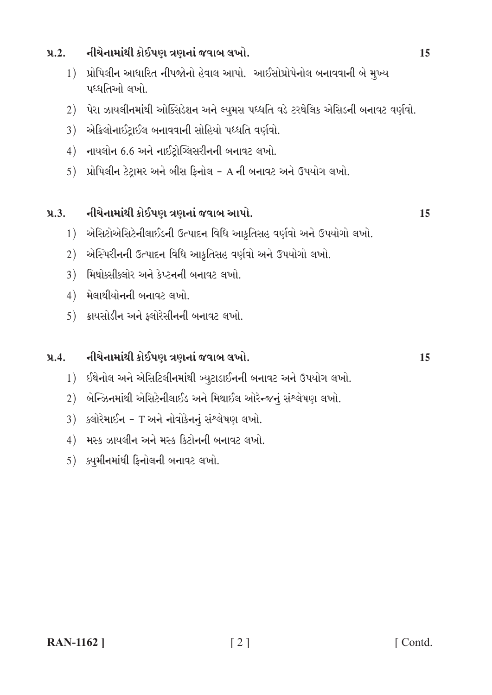#### નીચેનામાંથી કોઈપણ ત્રણનાં જવાબ લખો.  $9.2.$

- 1) પ્રોપિલીન આધારિત નીપજોનો હેવાલ આપો. આઈસોપ્રોપેનોલ બનાવવાની બે મુખ્ય પદઘતિઓ લખો
- 2) પેરા ઝાયલીનમાંથી ઓક્સિડેશન અને લ્યુમસ પધ્ધતિ વડે ટરથેલિક એસિડની બનાવટ વર્ણવો.
- 3) એકિલોનાઈટ્રાઈલ બનાવવાની સોહિયો પધ્ધતિ વર્ણવો.
- $4)$  નાયલોન 6.6 અને નાઈટોગ્લિસરીનની બનાવટ લખો.
- પ્રોપિલીન ટેટ્રામર અને બીસ ફિનોલ A ની બનાવટ અને ઉપયોગ લખો. 5)

#### નીચેનામાંથી કોઈપણ ત્રણનાં જવાબ આપો.  $9.3.$

- 1) એસિટોએસિટેનીલાઈડની ઉત્પાદન વિધિ આક્રતિસહ વર્ણવો અને ઉપયોગો લખો.
- 2) એસ્પિરીનની ઉત્પાદન વિધિ આકૃતિસહ વર્ણવો અને ઉપયોગો લખો.
- 3) મિથોક્સીક્લોર અને કેપ્ટનની બનાવટ લખો.
- $4)$  મેલાથીયોનની બનાવટ લખો.
- $5)$  ક્રાયસોડીન અને ફ્લોરેસીનની બનાવટ લખો.

#### નીચેનામાંથી કોઈપણ ત્રણનાં જવાબ લખો.  $9.4.$

- 1) ઈથેનોલ અને એસિટિલીનમાંથી બ્યુટાડાઈનની બનાવટ અને ઉપયોગ લખો.
- 2) બેન્ઝિનમાંથી એસિટેનીલાઈડ અને મિથાઈલ ઓરેન્જનું સંશ્લેષણ લખો.
- 3) ક્લોરૈમાઈન T અને નોવોકેનનું સંશ્લેષણ લખો.
- 4) મસ્ક ઝાયલીન અને મસ્ક કિટોનની બનાવટ લખો.
- $5)$  ક્યુમીનમાંથી ફિનોલની બનાવટ લખો.

15

15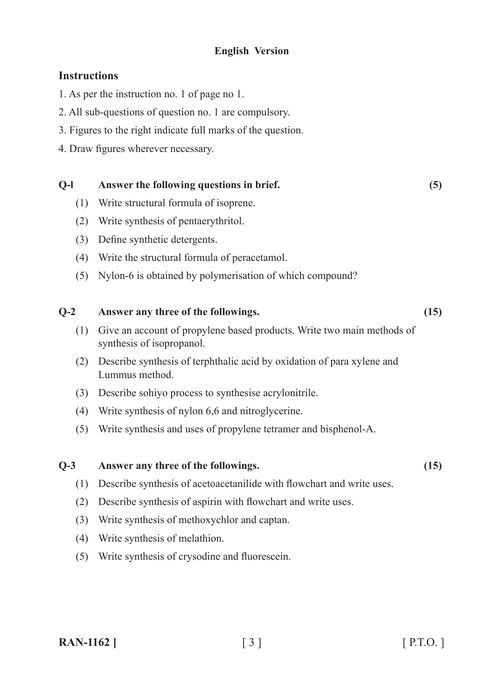### **English Version**

### **Instructions**

- 1. As per the instruction no. 1 of page no 1.
- 2. All sub-questions of question no. 1 are compulsory.
- 3. Figures to the right indicate full marks of the question.
- 4. Draw figures wherever necessary.

# **Q-l Answer the following questions in brief. (5)**

- (1) Write structural formula of isoprene.
- (2) Write synthesis of pentaerythritol.
- (3) Define synthetic detergents.
- (4) Write the structural formula of peracetamol.
- (5) Nylon-6 is obtained by polymerisation of which compound?

### **Q-2 Answer any three of the followings. (15)**

- (1) Give an account of propylene based products. Write two main methods of synthesis of isopropanol.
- (2) Describe synthesis of terphthalic acid by oxidation of para xylene and Lummus method.
- (3) Describe sohiyo process to synthesise acrylonitrile.
- (4) Write synthesis of nylon 6,6 and nitroglycerine.
- (5) Write synthesis and uses of propylene tetramer and bisphenol-A.

### **Q-3 Answer any three of the followings. (15)**

- (1) Describe synthesis of acetoacetanilide with flowchart and write uses.
- (2) Describe synthesis of aspirin with flowchart and write uses.
- (3) Write synthesis of methoxychlor and captan.
- (4) Write synthesis of melathion.
- (5) Write synthesis of crysodine and fluorescein.